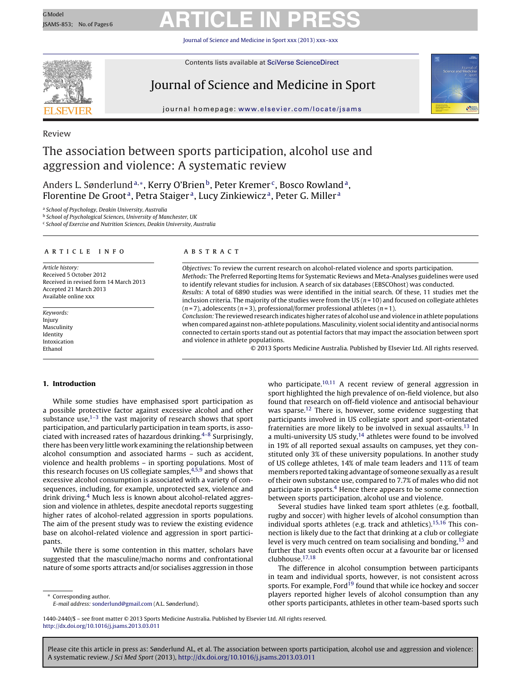# GModel GARTICLE IN PRESS

Journal of Science and Medicine in Sport [xxx \(2013\) xxx–xxx](dx.doi.org/10.1016/j.jsams.2013.03.011)



Contents lists available at SciVerse [ScienceDirect](http://www.sciencedirect.com/science/journal/14402440)

### Journal of Science and Medicine in Sport



journal homepage: [www.elsevier.com/locate/jsams](http://www.elsevier.com/locate/jsams)

### Review

### The association between sports participation, alcohol use and aggression and violence: A systematic review

Anders L. Sønderlund<sup>a,∗</sup>, Kerry O'Brien<sup>b</sup>, Peter Kremer<sup>c</sup>, Bosco Rowland<sup>a</sup>, Florentine De Groot<sup>a</sup>, Petra Staiger<sup>a</sup>, Lucy Zinkiewicz<sup>a</sup>, Peter G. Miller<sup>a</sup>

<sup>a</sup> School of Psychology, Deakin University, Australia

**b School of Psychological Sciences, University of Manchester, UK** 

<sup>c</sup> School of Exercise and Nutrition Sciences, Deakin University, Australia

#### a r t i c l e i n f o

Article history: Received 5 October 2012 Received in revised form 14 March 2013 Accepted 21 March 2013 Available online xxx

Keywords: Injury Masculinity Identity Intoxication Ethanol

#### a b s t r a c t

Objectives: To review the current research on alcohol-related violence and sports participation. Methods: The Preferred Reporting Items for Systematic Reviews and Meta-Analyses guidelines were used to identify relevant studies for inclusion. A search of six databases (EBSCOhost) was conducted. Results: A total of 6890 studies was were identified in the initial search. Of these, 11 studies met the inclusion criteria. The majority of the studies were from the US  $(n = 10)$  and focused on collegiate athletes  $(n=7)$ , adolescents  $(n=3)$ , professional/former professional athletes  $(n=1)$ .

Conclusion: The reviewed research indicates higher rates of alcohol use and violence in athlete populations when compared against non-athlete populations.Masculinity, violent social identity and antisocial norms connected to certain sports stand out as potential factors that may impact the association between sport and violence in athlete populations.

© 2013 Sports Medicine Australia. Published by Elsevier Ltd. All rights reserved.

#### **1. Introduction**

While some studies have emphasised sport participation as a possible protective factor against excessive alcohol and other substance use, $1-3$  the vast majority of research shows that sport participation, and particularly participation in team sports, is associated with increased rates of hazardous drinking. $4-8$  Surprisingly, there has been very little work examining the relationship between alcohol consumption and associated harms – such as accident, violence and health problems – in sporting populations. Most of this research focuses on US collegiate samples, $4,5,9$  and shows that excessive alcohol consumption is associated with a variety of consequences, including, for example, unprotected sex, violence and drink driving[.4](#page-5-0) Much less is known about alcohol-related aggression and violence in athletes, despite anecdotal reports suggesting higher rates of alcohol-related aggression in sports populations. The aim of the present study was to review the existing evidence base on alcohol-related violence and aggression in sport participants.

While there is some contention in this matter, scholars have suggested that the masculine/macho norms and confrontational nature of some sports attracts and/or socialises aggression in those

Corresponding author.

E-mail address: [sonderlund@gmail.com](mailto:sonderlund@gmail.com) (A.L. Sønderlund).

who participate.<sup>[10,11](#page-5-0)</sup> A recent review of general aggression in sport highlighted the high prevalence of on-field violence, but also found that research on off-field violence and antisocial behaviour was sparse.<sup>[12](#page-5-0)</sup> There is, however, some evidence suggesting that participants involved in US collegiate sport and sport-orientated fraternities are more likely to be involved in sexual assaults.<sup>[13](#page-5-0)</sup> In a multi-university US study, $14$  athletes were found to be involved in 19% of all reported sexual assaults on campuses, yet they constituted only 3% of these university populations. In another study of US college athletes, 14% of male team leaders and 11% of team members reported taking advantage of someone sexually as a result of their own substance use, compared to 7.7% of males who did not participate in sports.[4](#page-5-0) Hence there appears to be some connection between sports participation, alcohol use and violence.

Several studies have linked team sport athletes (e.g. football, rugby and soccer) with higher levels of alcohol consumption than individual sports athletes (e.g. track and athletics).<sup>[15,16](#page-5-0)</sup> This connection is likely due to the fact that drinking at a club or collegiate level is very much centred on team socialising and bonding,[15](#page-5-0) and further that such events often occur at a favourite bar or licensed clubhouse[.17,18](#page-5-0)

The difference in alcohol consumption between participants in team and individual sports, however, is not consistent across sports. For example, Ford<sup>19</sup> found that while ice hockey and soccer players reported higher levels of alcohol consumption than any other sports participants, athletes in other team-based sports such

1440-2440/\$ – see front matter © 2013 Sports Medicine Australia. Published by Elsevier Ltd. All rights reserved. [http://dx.doi.org/10.1016/j.jsams.2013.03.011](dx.doi.org/10.1016/j.jsams.2013.03.011)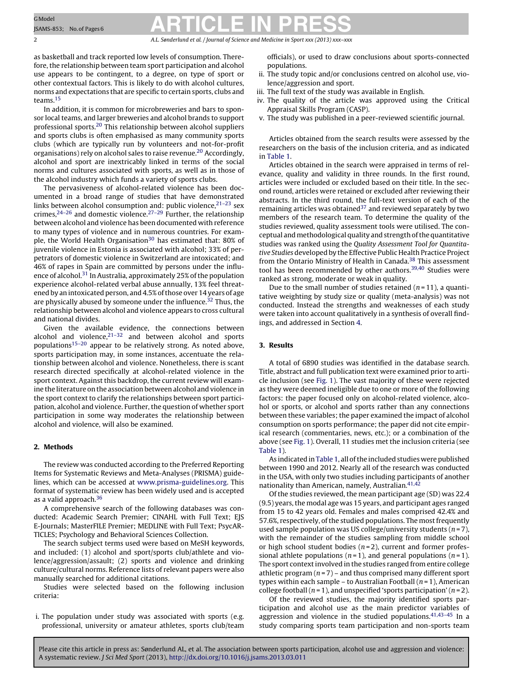# GModel SAMS-853; No.of Pages 6 **ARTICLE IN PRESS**

2 A.L. Sønderlund et al. / Journal of Science and Medicine in Sport *xxx (2013) xxx–xxx*

as basketball and track reported low levels of consumption. Therefore, the relationship between team sport participation and alcohol use appears to be contingent, to a degree, on type of sport or other contextual factors. This is likely to do with alcohol cultures, norms and expectations that are specific to certain sports, clubs and teams.[15](#page-5-0)

In addition, it is common for microbreweries and bars to sponsor local teams, and larger breweries and alcohol brands to support professional sports[.20](#page-5-0) This relationship between alcohol suppliers and sports clubs is often emphasised as many community sports clubs (which are typically run by volunteers and not-for-profit organisations) rely on alcohol sales to raise revenue.[20](#page-5-0) Accordingly, alcohol and sport are inextricably linked in terms of the social norms and cultures associated with sports, as well as in those of the alcohol industry which funds a variety of sports clubs.

The pervasiveness of alcohol-related violence has been documented in a broad range of studies that have demonstrated links between alcohol consumption and: public violence,  $2^{1-23}$  sex crimes,<sup>24–26</sup> and domestic violence.<sup>[27–29](#page-5-0)</sup> Further, the relationship between alcohol and violence has been documented with reference to many types of violence and in numerous countries. For exam-ple, the World Health Organisation<sup>[30](#page-5-0)</sup> has estimated that: 80% of juvenile violence in Estonia is associated with alcohol; 33% of perpetrators of domestic violence in Switzerland are intoxicated; and 46% of rapes in Spain are committed by persons under the influ-ence of alcohol.<sup>[31](#page-5-0)</sup> In Australia, approximately 25% of the population experience alcohol-related verbal abuse annually, 13% feel threatened by an intoxicated person, and 4.5%ofthose over 14 years of age are physically abused by someone under the influence.<sup>32</sup> Thus, the relationship between alcohol and violence appears to cross cultural and national divides.

Given the available evidence, the connections between alcohol and violence, $21-32$  and between alcohol and sports population[s15–20](#page-5-0) appear to be relatively strong. As noted above, sports participation may, in some instances, accentuate the relationship between alcohol and violence. Nonetheless, there is scant research directed specifically at alcohol-related violence in the sport context. Against this backdrop, the current review will examine the literature on the association between alcohol and violence in the sport context to clarify the relationships between sport participation, alcohol and violence. Further, the question of whether sport participation in some way moderates the relationship between alcohol and violence, will also be examined.

#### **2. Methods**

The review was conducted according to the Preferred Reporting Items for Systematic Reviews and Meta-Analyses (PRISMA) guidelines, which can be accessed at [www.prisma-guidelines.org.](http://www.prisma-guidelines.org/) This format of systematic review has been widely used and is accepted as a valid approach.<sup>[36](#page-5-0)</sup>

A comprehensive search of the following databases was conducted: Academic Search Premier; CINAHL with Full Text; EJS E-Journals; MasterFILE Premier; MEDLINE with Full Text; PsycAR-TICLES; Psychology and Behavioral Sciences Collection.

The search subject terms used were based on MeSH keywords, and included: (1) alcohol and sport/sports club/athlete and violence/aggression/assault; (2) sports and violence and drinking culture/cultural norms. Reference lists of relevant papers were also manually searched for additional citations.

Studies were selected based on the following inclusion criteria:

i. The population under study was associated with sports (e.g. professional, university or amateur athletes, sports club/team officials), or used to draw conclusions about sports-connected populations.

- ii. The study topic and/or conclusions centred on alcohol use, violence/aggression and sport.
- iii. The full text of the study was available in English.
- iv. The quality of the article was approved using the Critical Appraisal Skills Program (CASP).
- v. The study was published in a peer-reviewed scientific journal.

Articles obtained from the search results were assessed by the researchers on the basis of the inclusion criteria, and as indicated in [Table](#page-2-0) 1.

Articles obtained in the search were appraised in terms of relevance, quality and validity in three rounds. In the first round, articles were included or excluded based on their title. In the second round, articles were retained or excluded after reviewing their abstracts. In the third round, the full-text version of each of the remaining articles was obtained $37$  and reviewed separately by two members of the research team. To determine the quality of the studies reviewed, quality assessment tools were utilised. The conceptual and methodological quality and strength of the quantitative studies was ranked using the Quality Assessment Tool for Quantitative Studies developed by the Effective Public Health Practice Project from the Ontario Ministry of Health in Canada.<sup>[38](#page-5-0)</sup> This assessment tool has been recommended by other authors.<sup>39,40</sup> Studies were ranked as strong, moderate or weak in quality.

Due to the small number of studies retained  $(n=11)$ , a quantitative weighting by study size or quality (meta-analysis) was not conducted. Instead the strengths and weaknesses of each study were taken into account qualitatively in a synthesis of overall findings, and addressed in Section [4.](#page-4-0)

#### **3. Results**

A total of 6890 studies was identified in the database search. Title, abstract and full publication text were examined prior to article inclusion (see [Fig.](#page-3-0) 1). The vast majority of these were rejected as they were deemed ineligible due to one or more of the following factors: the paper focused only on alcohol-related violence, alcohol or sports, or alcohol and sports rather than any connections between these variables; the paper examined the impact of alcohol consumption on sports performance; the paper did not cite empirical research (commentaries, news, etc.); or a combination of the above (see [Fig.](#page-3-0) 1). Overall, 11 studies met the inclusion criteria (see [Table](#page-2-0) 1).

As indicated in [Table](#page-2-0) 1, all of the included studies were published between 1990 and 2012. Nearly all of the research was conducted in the USA, with only two studies including participants of another nationality than American, namely, Australian.<sup>[41,42](#page-5-0)</sup>

Of the studies reviewed, the mean participant age (SD) was 22.4  $(9.5)$  years, the modal age was 15 years, and participant ages ranged from 15 to 42 years old. Females and males comprised 42.4% and 57.6%, respectively, of the studied populations. The most frequently used sample population was US college/university students  $(n=7)$ , with the remainder of the studies sampling from middle school or high school student bodies  $(n=2)$ , current and former professional athlete populations ( $n = 1$ ), and general populations ( $n = 1$ ). The sport context involved in the studies ranged from entire college athletic program  $(n=7)$  – and thus comprised many different sport types within each sample – to Australian Football  $(n = 1)$ , American college football ( $n = 1$ ), and unspecified 'sports participation' ( $n = 2$ ).

Of the reviewed studies, the majority identified sports participation and alcohol use as the main predictor variables of aggression and violence in the studied populations. $41,43-45$  In a study comparing sports team participation and non-sports team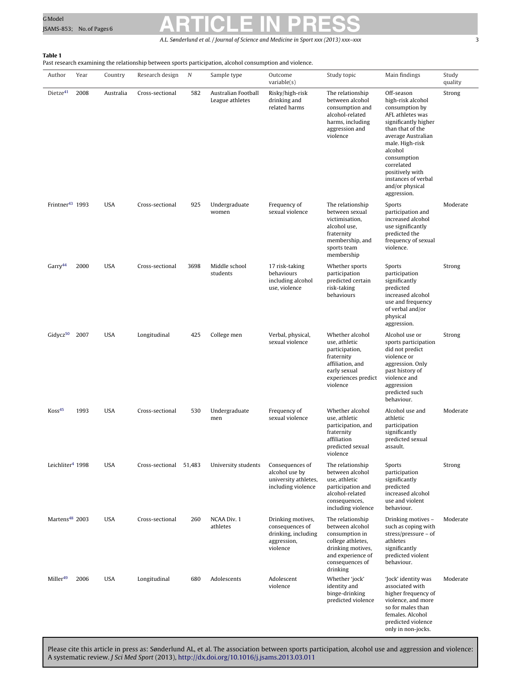# <span id="page-2-0"></span>GModel GModel Research CLE IN PRESS

A.L. Sønderlund et al. / Journal of Science and Medicine in Sport *xxx (2013) xxx–xxx* 3

### **Table 1**

Past research examining the relationship between sports participation, alcohol consumption and violence.

| Author                       | Year | Country    | Research design        | N    | Sample type                            | Outcome<br>variable(s)                                                                 | Study topic                                                                                                                                         | Main findings                                                                                                                                                                                                                                                                  | Study<br>quality |
|------------------------------|------|------------|------------------------|------|----------------------------------------|----------------------------------------------------------------------------------------|-----------------------------------------------------------------------------------------------------------------------------------------------------|--------------------------------------------------------------------------------------------------------------------------------------------------------------------------------------------------------------------------------------------------------------------------------|------------------|
| Dietze <sup>41</sup>         | 2008 | Australia  | Cross-sectional        | 582  | Australian Football<br>League athletes | Risky/high-risk<br>drinking and<br>related harms                                       | The relationship<br>between alcohol<br>consumption and<br>alcohol-related<br>harms, including<br>aggression and<br>violence                         | Off-season<br>high-risk alcohol<br>consumption by<br>AFL athletes was<br>significantly higher<br>than that of the<br>average Australian<br>male. High-risk<br>alcohol<br>consumption<br>correlated<br>positively with<br>instances of verbal<br>and/or physical<br>aggression. | Strong           |
| Frintner <sup>43</sup> 1993  |      | <b>USA</b> | Cross-sectional        | 925  | Undergraduate<br>women                 | Frequency of<br>sexual violence                                                        | The relationship<br>between sexual<br>victimisation,<br>alcohol use,<br>fraternity<br>membership, and<br>sports team<br>membership                  | Sports<br>participation and<br>increased alcohol<br>use significantly<br>predicted the<br>frequency of sexual<br>violence.                                                                                                                                                     | Moderate         |
| Garrow <sup>44</sup>         | 2000 | <b>USA</b> | Cross-sectional        | 3698 | Middle school<br>students              | 17 risk-taking<br>behaviours<br>including alcohol<br>use, violence                     | Whether sports<br>participation<br>predicted certain<br>risk-taking<br>behaviours                                                                   | Sports<br>participation<br>significantly<br>predicted<br>increased alcohol<br>use and frequency<br>of verbal and/or<br>physical<br>aggression.                                                                                                                                 | Strong           |
| Gidycz <sup>50</sup>         | 2007 | <b>USA</b> | Longitudinal           | 425  | College men                            | Verbal, physical,<br>sexual violence                                                   | Whether alcohol<br>use, athletic<br>participation,<br>fraternity<br>affiliation, and<br>early sexual<br>experiences predict<br>violence             | Alcohol use or<br>sports participation<br>did not predict<br>violence or<br>aggression. Only<br>past history of<br>violence and<br>aggression<br>predicted such<br>behaviour.                                                                                                  | Strong           |
| Koss <sup>45</sup>           | 1993 | <b>USA</b> | Cross-sectional        | 530  | Undergraduate<br>men                   | Frequency of<br>sexual violence                                                        | Whether alcohol<br>use, athletic<br>participation, and<br>fraternity<br>affiliation<br>predicted sexual<br>violence                                 | Alcohol use and<br>athletic<br>participation<br>significantly<br>predicted sexual<br>assault.                                                                                                                                                                                  | Moderate         |
| Leichliter <sup>4</sup> 1998 |      | <b>USA</b> | Cross-sectional 51,483 |      | University students                    | Consequences of<br>alcohol use by<br>university athletes,<br>including violence        | The relationship<br>between alcohol<br>use, athletic<br>participation and<br>alcohol-related<br>consequences,<br>including violence                 | Sports<br>participation<br>significantly<br>predicted<br>increased alcohol<br>use and violent<br>behaviour.                                                                                                                                                                    | Strong           |
| Martens <sup>48</sup> 2003   |      | <b>USA</b> | Cross-sectional        | 260  | <b>NCAA Div. 1</b><br>athletes         | Drinking motives,<br>consequences of<br>drinking, including<br>aggression,<br>violence | The relationship<br>between alcohol<br>consumption in<br>college athletes,<br>drinking motives,<br>and experience of<br>consequences of<br>drinking | Drinking motives -<br>such as coping with<br>stress/pressure - of<br>athletes<br>significantly<br>predicted violent<br>behaviour.                                                                                                                                              | Moderate         |
| Miller <sup>49</sup>         | 2006 | <b>USA</b> | Longitudinal           | 680  | Adolescents                            | Adolescent<br>violence                                                                 | Whether 'jock'<br>identity and<br>binge-drinking<br>predicted violence                                                                              | 'Jock' identity was<br>associated with<br>higher frequency of<br>violence, and more<br>so for males than<br>females. Alcohol<br>predicted violence<br>only in non-jocks.                                                                                                       | Moderate         |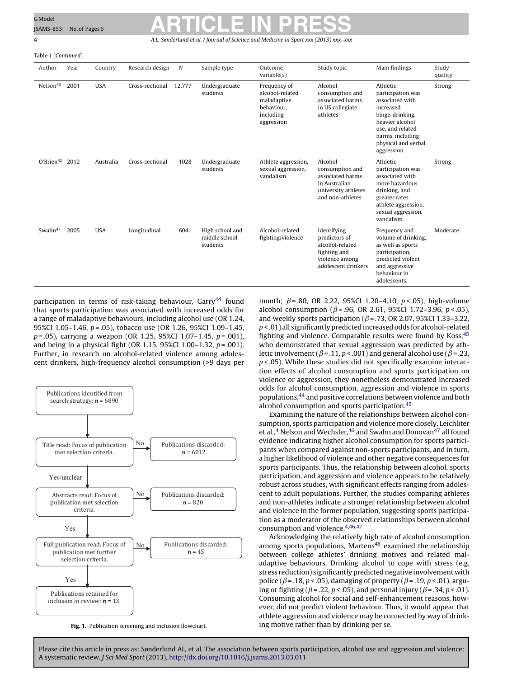Table 1 (Continued)

## <span id="page-3-0"></span>GModel SAMS-853; No.of Pages 6 **ARTICLE IN PRESS**

4 A.L. Sønderlund et al. / Journal of Science and Medicine in Sport *xxx (2013) xxx–xxx*

| Author               | Year | Country    | Research design | $\boldsymbol{N}$ | Sample type                                  | Outcome<br>variable(s)                                                                  | Study topic                                                                                                | Main findings                                                                                                                                                                     | Study<br>quality |
|----------------------|------|------------|-----------------|------------------|----------------------------------------------|-----------------------------------------------------------------------------------------|------------------------------------------------------------------------------------------------------------|-----------------------------------------------------------------------------------------------------------------------------------------------------------------------------------|------------------|
| Nelson <sup>46</sup> | 2001 | <b>USA</b> | Cross-sectional | 12,777           | Undergraduate<br>students                    | Frequency of<br>alcohol-related<br>maladaptive<br>behaviour,<br>including<br>aggression | Alcohol<br>consumption and<br>associated harms<br>in US collegiate<br>athletes                             | Athletic<br>participation was<br>associated with<br>increased<br>binge-drinking,<br>heavier alcohol<br>use, and related<br>harms, including<br>physical and verbal<br>aggression. | Strong           |
| $O'Brien^{42}$ 2012  |      | Australia  | Cross-sectional | 1028             | Undergraduate<br>students                    | Athlete aggression,<br>sexual aggression,<br>vandalism                                  | Alcohol<br>consumption and<br>associated harms<br>in Australian<br>university athletes<br>and non-athletes | Athletic<br>participation was<br>associated with<br>more hazardous<br>drinking, and<br>greater rates<br>athlete aggression,<br>sexual aggression,<br>vandalism.                   | Strong           |
| Swahn <sup>47</sup>  | 2005 | <b>USA</b> | Longitudinal    | 6041             | High school and<br>middle school<br>students | Alcohol-related<br>fighting/violence                                                    | Identifying<br>predictors of<br>alcohol-related<br>fighting and<br>violence among<br>adolescent drinkers   | Frequency and<br>volume of drinking,<br>as well as sports<br>participation,<br>predicted violent<br>and aggressive<br>behaviour in<br>adolescents.                                | Moderate         |

participation in terms of risk-taking behaviour, Garry<sup>[44](#page-5-0)</sup> found that sports participation was associated with increased odds for a range of maladaptive behaviours, including alcohol use (OR 1.24, 95%CI 1.05-1.46, p = .05), tobacco use (OR 1.26, 95%CI 1.09-1.45,  $p = .05$ ), carrying a weapon (OR 1.25, 95%CI 1.07-1.45,  $p = .001$ ), and being in a physical fight (OR 1.15, 95%CI 1.00–1.32,  $p = .001$ ). Further, in research on alcohol-related violence among adolescent drinkers, high-frequency alcohol consumption (>9 days per



**Fig. 1.** Publication screening and inclusion flowchart.

month;  $\beta$  = .80, OR 2.22, 95%CI 1.20–4.10,  $p < .05$ ), high-volume alcohol consumption ( $\beta$ =.96, OR 2.61, 95%CI 1.72–3.96, p <.05), and weekly sports participation ( $\beta$  = .73, OR 2.07, 95%CI 1.33-3.22,  $p$  < .01) all significantly predicted increased odds for alcohol-related fighting and violence. Comparable results were found by Koss, 45 who demonstrated that sexual aggression was predicted by athletic involvement ( $\beta$  = .11, p < .001) and general alcohol use ( $\beta$  = .23,  $p$  < .05). While these studies did not specifically examine interaction effects of alcohol consumption and sports participation on violence or aggression, they nonetheless demonstrated increased odds for alcohol consumption, aggression and violence in sports populations, <sup>[44](#page-5-0)</sup> and positive correlations between violence and both alcohol consumption and sports participation.[45](#page-5-0)

Examining the nature of the relationships between alcohol consumption, sports participation and violence more closely, Leichliter et al.,<sup>4</sup> Nelson and Wechsler,<sup>46</sup> and Swahn and Donovan<sup>[47](#page-5-0)</sup> all found evidence indicating higher alcohol consumption for sports participants when compared against non-sports participants, and in turn, a higher likelihood of violence and other negative consequences for sports participants. Thus, the relationship between alcohol, sports participation, and aggression and violence appears to be relatively robust across studies, with significant effects ranging from adolescent to adult populations. Further, the studies comparing athletes and non-athletes indicate a stronger relationship between alcohol and violence in the former population, suggesting sports participation as a moderator of the observed relationships between alcohol consumption and violence.[4,46,47](#page-5-0)

Acknowledging the relatively high rate of alcohol consumption among sports populations, Martens<sup>[48](#page-5-0)</sup> examined the relationship between college athletes' drinking motives and related maladaptive behaviours. Drinking alcohol to cope with stress (e.g. stress reduction) significantly predicted negative involvement with police ( $\beta$  = .18, p < .05), damaging of property ( $\beta$  = .19, p < .01), arguing or fighting ( $\beta$  = .22,  $p <$  .05), and personal injury ( $\beta$  = .34,  $p <$  .01). Consuming alcohol for social and self-enhancement reasons, however, did not predict violent behaviour. Thus, it would appear that athlete aggression and violence may be connected by way of drinking motive rather than by drinking per se.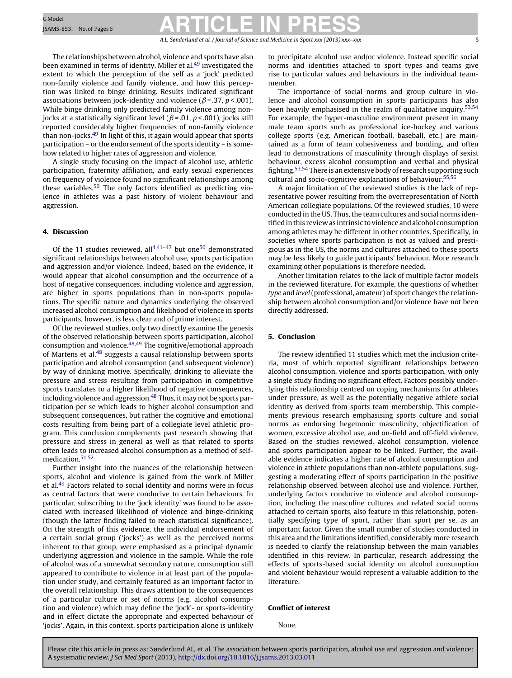### <span id="page-4-0"></span>GModel GModel Research CLE IN PRESS

A.L. Sønderlund et al. / Journal of Science and Medicine in Sport *xxx (2013) xxx–xxx* 5

The relationships between alcohol, violence and sports have also been examined in terms of identity. Miller et al.<sup>49</sup> investigated the extent to which the perception of the self as a 'jock' predicted non-family violence and family violence, and how this perception was linked to binge drinking. Results indicated significant associations between jock-identity and violence ( $\beta$ =.37, p <.001). While binge drinking only predicted family violence among nonjocks at a statistically significant level ( $\beta$ =.01, p <.001), jocks still reported considerably higher frequencies of non-family violence than non-jocks.[49](#page-5-0) In light of this, it again would appear that sports participation – or the endorsement of the sports identity – is somehow related to higher rates of aggression and violence.

A single study focusing on the impact of alcohol use, athletic participation, fraternity affiliation, and early sexual experiences on frequency of violence found no significant relationships among these variables[.50](#page-5-0) The only factors identified as predicting violence in athletes was a past history of violent behaviour and aggression.

#### **4. Discussion**

Of the 11 studies reviewed, all $4,41-47$  but one<sup>50</sup> demonstrated significant relationships between alcohol use, sports participation and aggression and/or violence. Indeed, based on the evidence, it would appear that alcohol consumption and the occurrence of a host of negative consequences, including violence and aggression, are higher in sports populations than in non-sports populations. The specific nature and dynamics underlying the observed increased alcohol consumption and likelihood of violence in sports participants, however, is less clear and of prime interest.

Of the reviewed studies, only two directly examine the genesis of the observed relationship between sports participation, alcohol consumption and violence[.48,49](#page-5-0) The cognitive/emotional approach of Martens et al[.48](#page-5-0) suggests a causal relationship between sports participation and alcohol consumption (and subsequent violence) by way of drinking motive. Specifically, drinking to alleviate the pressure and stress resulting from participation in competitive sports translates to a higher likelihood of negative consequences, including violence and aggression.<sup>[48](#page-5-0)</sup> Thus, it may not be sports participation per se which leads to higher alcohol consumption and subsequent consequences, but rather the cognitive and emotional costs resulting from being part of a collegiate level athletic program. This conclusion complements past research showing that pressure and stress in general as well as that related to sports often leads to increased alcohol consumption as a method of self-medication.<sup>[51,52](#page-5-0)</sup>

Further insight into the nuances of the relationship between sports, alcohol and violence is gained from the work of Miller et al[.49](#page-5-0) Factors related to social identity and norms were in focus as central factors that were conducive to certain behaviours. In particular, subscribing to the 'jock identity' was found to be associated with increased likelihood of violence and binge-drinking (though the latter finding failed to reach statistical significance). On the strength of this evidence, the individual endorsement of a certain social group ('jocks') as well as the perceived norms inherent to that group, were emphasised as a principal dynamic underlying aggression and violence in the sample. While the role of alcohol was of a somewhat secondary nature, consumption still appeared to contribute to violence in at least part of the population under study, and certainly featured as an important factor in the overall relationship. This draws attention to the consequences of a particular culture or set of norms (e.g. alcohol consumption and violence) which may define the 'jock'- or sports-identity and in effect dictate the appropriate and expected behaviour of 'jocks'. Again, in this context, sports participation alone is unlikely to precipitate alcohol use and/or violence. Instead specific social norms and identities attached to sport types and teams give rise to particular values and behaviours in the individual teammember.

The importance of social norms and group culture in violence and alcohol consumption in sports participants has also been heavily emphasised in the realm of qualitative inquiry.<sup>53,54</sup> For example, the hyper-masculine environment present in many male team sports such as professional ice-hockey and various college sports (e.g. American football, baseball, etc.) are maintained as a form of team cohesiveness and bonding, and often lead to demonstrations of masculinity through displays of sexist behaviour, excess alcohol consumption and verbal and physical fighting.[53,54](#page-5-0) There is an extensive body of research supporting such cultural and socio-cognitive explanations of behaviour.[55,56](#page-5-0)

A major limitation of the reviewed studies is the lack of representative power resulting from the overrepresentation of North American collegiate populations. Of the reviewed studies, 10 were conducted in the US. Thus, the team cultures and social norms identified in this review as intrinsic to violence and alcohol consumption among athletes may be different in other countries. Specifically, in societies where sports participation is not as valued and prestigious as in the US, the norms and cultures attached to these sports may be less likely to guide participants' behaviour. More research examining other populations is therefore needed.

Another limitation relates to the lack of multiple factor models in the reviewed literature. For example, the questions of whether type and level (professional, amateur) of sport changes the relationship between alcohol consumption and/or violence have not been directly addressed.

#### **5. Conclusion**

The review identified 11 studies which met the inclusion criteria, most of which reported significant relationships between alcohol consumption, violence and sports participation, with only a single study finding no significant effect. Factors possibly underlying this relationship centred on coping mechanisms for athletes under pressure, as well as the potentially negative athlete social identity as derived from sports team membership. This complements previous research emphasising sports culture and social norms as endorsing hegemonic masculinity, objectification of women, excessive alcohol use, and on-field and off-field violence. Based on the studies reviewed, alcohol consumption, violence and sports participation appear to be linked. Further, the available evidence indicates a higher rate of alcohol consumption and violence in athlete populations than non-athlete populations, suggesting a moderating effect of sports participation in the positive relationship observed between alcohol use and violence. Further, underlying factors conducive to violence and alcohol consumption, including the masculine cultures and related social norms attached to certain sports, also feature in this relationship, potentially specifying type of sport, rather than sport per se, as an important factor. Given the small number of studies conducted in this area and the limitations identified, considerably more research is needed to clarify the relationship between the main variables identified in this review. In particular, research addressing the effects of sports-based social identity on alcohol consumption and violent behaviour would represent a valuable addition to the literature.

#### **Conflict of interest**

None.